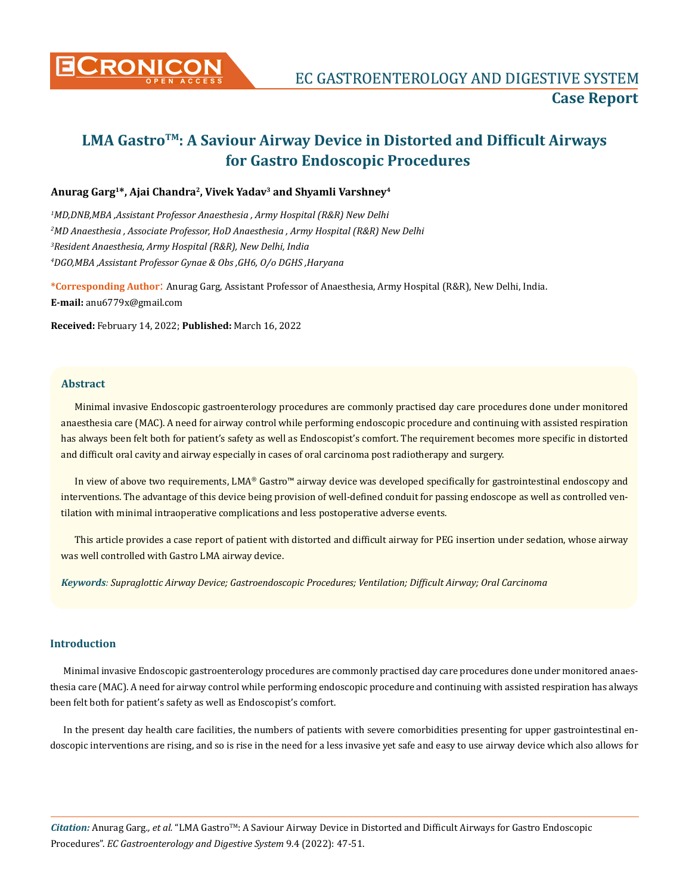

# **LMA GastroTM: A Saviour Airway Device in Distorted and Difficult Airways for Gastro Endoscopic Procedures**

# **Anurag Garg1\*, Ajai Chandra2, Vivek Yadav3 and Shyamli Varshney<sup>4</sup>**

 *MD,DNB,MBA ,Assistant Professor Anaesthesia , Army Hospital (R&R) New Delhi MD Anaesthesia , Associate Professor, HoD Anaesthesia , Army Hospital (R&R) New Delhi Resident Anaesthesia, Army Hospital (R&R), New Delhi, India DGO,MBA ,Assistant Professor Gynae & Obs ,GH6, O/o DGHS ,Haryana*

**\*Corresponding Author**: Anurag Garg, Assistant Professor of Anaesthesia, Army Hospital (R&R), New Delhi, India. **E-mail:** [anu6779x@gmail.com](mailto:anu6779x@gmail.com)

**Received:** February 14, 2022; **Published:** March 16, 2022

## **Abstract**

Minimal invasive Endoscopic gastroenterology procedures are commonly practised day care procedures done under monitored anaesthesia care (MAC). A need for airway control while performing endoscopic procedure and continuing with assisted respiration has always been felt both for patient's safety as well as Endoscopist's comfort. The requirement becomes more specific in distorted and difficult oral cavity and airway especially in cases of oral carcinoma post radiotherapy and surgery.

In view of above two requirements, LMA® Gastro™ airway device was developed specifically for gastrointestinal endoscopy and interventions. The advantage of this device being provision of well-defined conduit for passing endoscope as well as controlled ventilation with minimal intraoperative complications and less postoperative adverse events.

This article provides a case report of patient with distorted and difficult airway for PEG insertion under sedation, whose airway was well controlled with Gastro LMA airway device.

*Keywords: Supraglottic Airway Device; Gastroendoscopic Procedures; Ventilation; Difficult Airway; Oral Carcinoma*

### **Introduction**

Minimal invasive Endoscopic gastroenterology procedures are commonly practised day care procedures done under monitored anaesthesia care (MAC). A need for airway control while performing endoscopic procedure and continuing with assisted respiration has always been felt both for patient's safety as well as Endoscopist's comfort.

In the present day health care facilities, the numbers of patients with severe comorbidities presenting for upper gastrointestinal endoscopic interventions are rising, and so is rise in the need for a less invasive yet safe and easy to use airway device which also allows for

*Citation:* Anurag Garg*., et al.* "LMA GastroTM: A Saviour Airway Device in Distorted and Difficult Airways for Gastro Endoscopic Procedures". *EC Gastroenterology and Digestive System* 9.4 (2022): 47-51.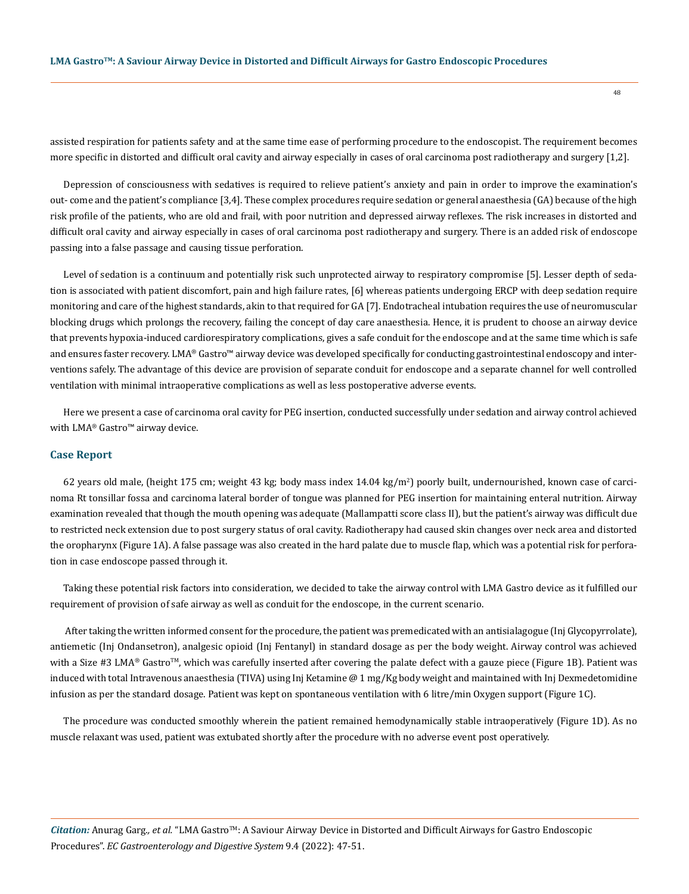assisted respiration for patients safety and at the same time ease of performing procedure to the endoscopist. The requirement becomes more specific in distorted and difficult oral cavity and airway especially in cases of oral carcinoma post radiotherapy and surgery [1,2].

Depression of consciousness with sedatives is required to relieve patient's anxiety and pain in order to improve the examination's out- come and the patient's compliance [3,4]. These complex procedures require sedation or general anaesthesia (GA) because of the high risk profile of the patients, who are old and frail, with poor nutrition and depressed airway reflexes. The risk increases in distorted and difficult oral cavity and airway especially in cases of oral carcinoma post radiotherapy and surgery. There is an added risk of endoscope passing into a false passage and causing tissue perforation.

Level of sedation is a continuum and potentially risk such unprotected airway to respiratory compromise [5]. Lesser depth of sedation is associated with patient discomfort, pain and high failure rates, [6] whereas patients undergoing ERCP with deep sedation require monitoring and care of the highest standards, akin to that required for GA [7]. Endotracheal intubation requires the use of neuromuscular blocking drugs which prolongs the recovery, failing the concept of day care anaesthesia. Hence, it is prudent to choose an airway device that prevents hypoxia-induced cardiorespiratory complications, gives a safe conduit for the endoscope and at the same time which is safe and ensures faster recovery. LMA® Gastro™ airway device was developed specifically for conducting gastrointestinal endoscopy and interventions safely. The advantage of this device are provision of separate conduit for endoscope and a separate channel for well controlled ventilation with minimal intraoperative complications as well as less postoperative adverse events.

Here we present a case of carcinoma oral cavity for PEG insertion, conducted successfully under sedation and airway control achieved with LMA<sup>®</sup> Gastro<sup>™</sup> airway device.

#### **Case Report**

62 years old male, (height 175 cm; weight 43 kg; body mass index 14.04 kg/m<sup>2</sup> ) poorly built, undernourished, known case of carcinoma Rt tonsillar fossa and carcinoma lateral border of tongue was planned for PEG insertion for maintaining enteral nutrition. Airway examination revealed that though the mouth opening was adequate (Mallampatti score class II), but the patient's airway was difficult due to restricted neck extension due to post surgery status of oral cavity. Radiotherapy had caused skin changes over neck area and distorted the oropharynx (Figure 1A). A false passage was also created in the hard palate due to muscle flap, which was a potential risk for perforation in case endoscope passed through it.

Taking these potential risk factors into consideration, we decided to take the airway control with LMA Gastro device as it fulfilled our requirement of provision of safe airway as well as conduit for the endoscope, in the current scenario.

 After taking the written informed consent for the procedure, the patient was premedicated with an antisialagogue (Inj Glycopyrrolate), antiemetic (Inj Ondansetron), analgesic opioid (Inj Fentanyl) in standard dosage as per the body weight. Airway control was achieved with a Size #3 LMA® Gastro<sup>™</sup>, which was carefully inserted after covering the palate defect with a gauze piece (Figure 1B). Patient was induced with total Intravenous anaesthesia (TIVA) using Inj Ketamine @ 1 mg/Kg body weight and maintained with Inj Dexmedetomidine infusion as per the standard dosage. Patient was kept on spontaneous ventilation with 6 litre/min Oxygen support (Figure 1C).

The procedure was conducted smoothly wherein the patient remained hemodynamically stable intraoperatively (Figure 1D). As no muscle relaxant was used, patient was extubated shortly after the procedure with no adverse event post operatively.

*Citation:* Anurag Garg*., et al.* "LMA GastroTM: A Saviour Airway Device in Distorted and Difficult Airways for Gastro Endoscopic Procedures". *EC Gastroenterology and Digestive System* 9.4 (2022): 47-51.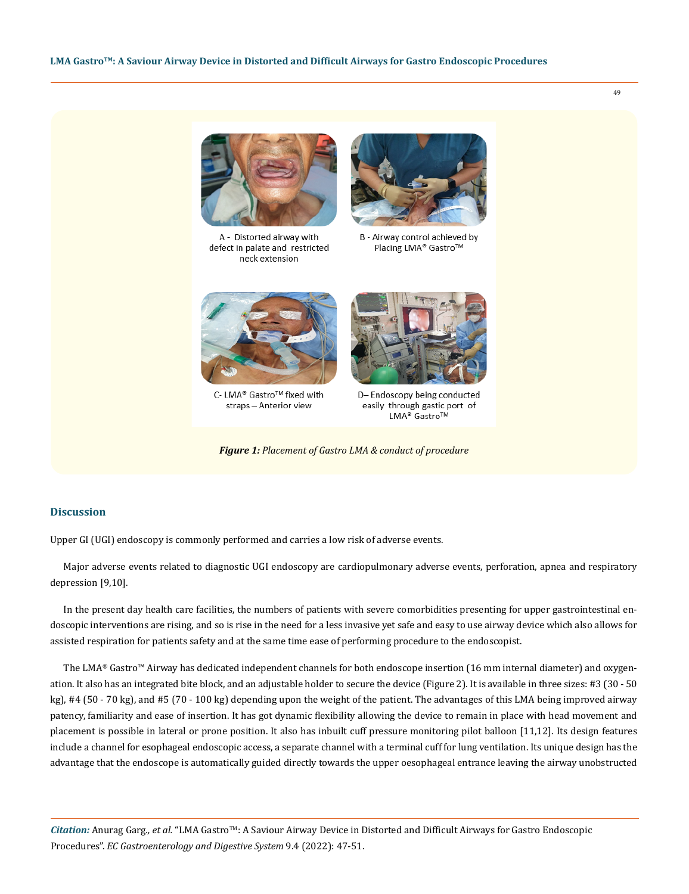

A - Distorted airway with defect in palate and restricted neck extension



B - Airway control achieved by Placing LMA<sup>®</sup> Gastro™



C-LMA® Gastro™ fixed with straps - Anterior view



D-Endoscopy being conducted easily through gastic port of LMA<sup>®</sup> Gastro™

*Figure 1: Placement of Gastro LMA & conduct of procedure*

## **Discussion**

Upper GI (UGI) endoscopy is commonly performed and carries a low risk of adverse events.

Major adverse events related to diagnostic UGI endoscopy are cardiopulmonary adverse events, perforation, apnea and respiratory depression [9,10].

In the present day health care facilities, the numbers of patients with severe comorbidities presenting for upper gastrointestinal endoscopic interventions are rising, and so is rise in the need for a less invasive yet safe and easy to use airway device which also allows for assisted respiration for patients safety and at the same time ease of performing procedure to the endoscopist.

The LMA® Gastro™ Airway has dedicated independent channels for both endoscope insertion (16 mm internal diameter) and oxygenation. It also has an integrated bite block, and an adjustable holder to secure the device (Figure 2). It is available in three sizes: #3 (30 - 50 kg), #4 (50 - 70 kg), and #5 (70 - 100 kg) depending upon the weight of the patient. The advantages of this LMA being improved airway patency, familiarity and ease of insertion. It has got dynamic flexibility allowing the device to remain in place with head movement and placement is possible in lateral or prone position. It also has inbuilt cuff pressure monitoring pilot balloon [11,12]. Its design features include a channel for esophageal endoscopic access, a separate channel with a terminal cuff for lung ventilation. Its unique design has the advantage that the endoscope is automatically guided directly towards the upper oesophageal entrance leaving the airway unobstructed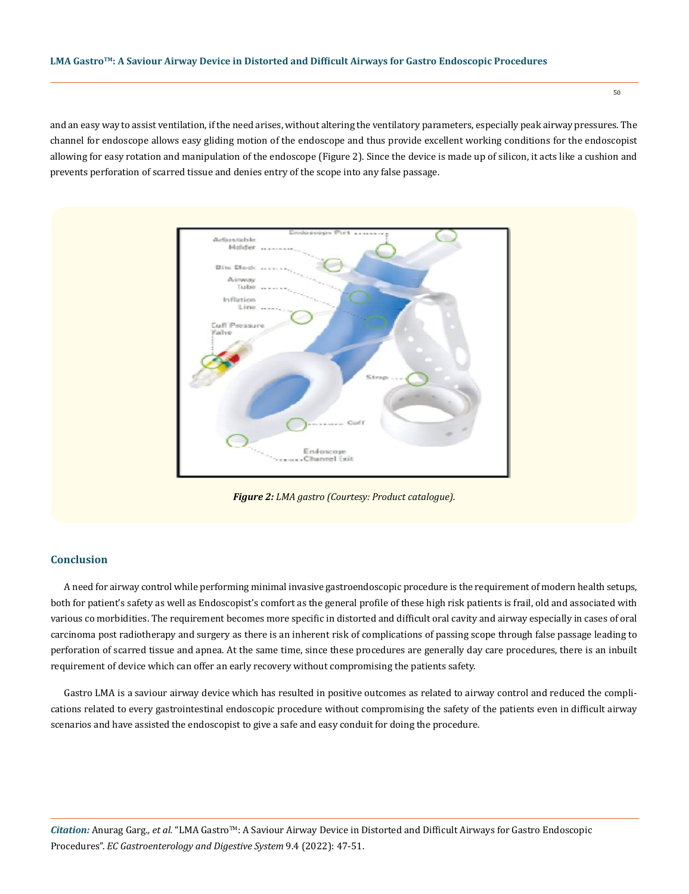## **LMA GastroTM: A Saviour Airway Device in Distorted and Difficult Airways for Gastro Endoscopic Procedures**

and an easy way to assist ventilation, if the need arises, without altering the ventilatory parameters, especially peak airway pressures. The channel for endoscope allows easy gliding motion of the endoscope and thus provide excellent working conditions for the endoscopist allowing for easy rotation and manipulation of the endoscope (Figure 2). Since the device is made up of silicon, it acts like a cushion and prevents perforation of scarred tissue and denies entry of the scope into any false passage.



*Figure 2: LMA gastro (Courtesy: Product catalogue).*

## **Conclusion**

A need for airway control while performing minimal invasive gastroendoscopic procedure is the requirement of modern health setups, both for patient's safety as well as Endoscopist's comfort as the general profile of these high risk patients is frail, old and associated with various co morbidities. The requirement becomes more specific in distorted and difficult oral cavity and airway especially in cases of oral carcinoma post radiotherapy and surgery as there is an inherent risk of complications of passing scope through false passage leading to perforation of scarred tissue and apnea. At the same time, since these procedures are generally day care procedures, there is an inbuilt requirement of device which can offer an early recovery without compromising the patients safety.

Gastro LMA is a saviour airway device which has resulted in positive outcomes as related to airway control and reduced the complications related to every gastrointestinal endoscopic procedure without compromising the safety of the patients even in difficult airway scenarios and have assisted the endoscopist to give a safe and easy conduit for doing the procedure.

*Citation:* Anurag Garg*., et al.* "LMA GastroTM: A Saviour Airway Device in Distorted and Difficult Airways for Gastro Endoscopic Procedures". *EC Gastroenterology and Digestive System* 9.4 (2022): 47-51.